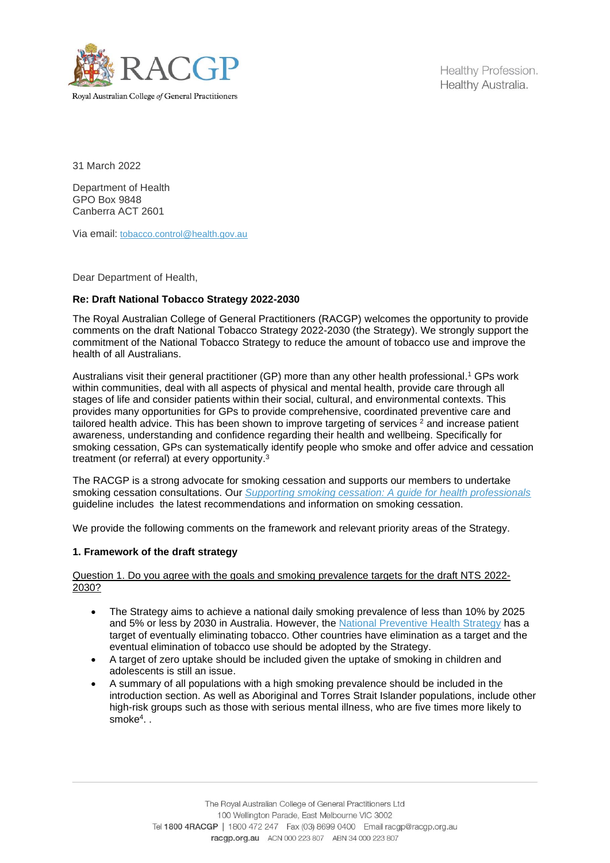

Healthy Profession. Healthy Australia.

31 March 2022

Department of Health GPO Box 9848 Canberra ACT 2601

Via email: [tobacco.control@health.gov.au](mailto:tobacco.control@health.gov.au)

Dear Department of Health,

# **Re: Draft National Tobacco Strategy 2022-2030**

The Royal Australian College of General Practitioners (RACGP) welcomes the opportunity to provide comments on the draft National Tobacco Strategy 2022-2030 (the Strategy). We strongly support the commitment of the National Tobacco Strategy to reduce the amount of tobacco use and improve the health of all Australians.

Australians visit their general practitioner (GP) more than any other health professional. <sup>1</sup> GPs work within communities, deal with all aspects of physical and mental health, provide care through all stages of life and consider patients within their social, cultural, and environmental contexts. This provides many opportunities for GPs to provide comprehensive, coordinated preventive care and tailored health advice. This has been shown to improve targeting of services <sup>2</sup> and increase patient awareness, understanding and confidence regarding their health and wellbeing. Specifically for smoking cessation, GPs can systematically identify people who smoke and offer advice and cessation treatment (or referral) at every opportunity.<sup>3</sup>

The RACGP is a strong advocate for smoking cessation and supports our members to undertake smoking cessation consultations. Our *[Supporting smoking cessation: A guide for health professionals](https://www.racgp.org.au/clinical-resources/clinical-guidelines/key-racgp-guidelines/view-all-racgp-guidelines/supporting-smoking-cessation)* guideline includes the latest recommendations and information on smoking cessation.

We provide the following comments on the framework and relevant priority areas of the Strategy.

## **1. Framework of the draft strategy**

Question 1. Do you agree with the goals and smoking prevalence targets for the draft NTS 2022- 2030?

- The Strategy aims to achieve a national daily smoking prevalence of less than 10% by 2025 and 5% or less by 2030 in Australia. However, the [National Preventive Health Strategy](https://www.health.gov.au/sites/default/files/documents/2021/12/national-preventive-health-strategy-2021-2030_1.pdf) has a target of eventually eliminating tobacco. Other countries have elimination as a target and the eventual elimination of tobacco use should be adopted by the Strategy.
- A target of zero uptake should be included given the uptake of smoking in children and adolescents is still an issue.
- A summary of all populations with a high smoking prevalence should be included in the introduction section. As well as Aboriginal and Torres Strait Islander populations, include other high-risk groups such as those with serious mental illness, who are five times more likely to smoke<sup>4</sup> . .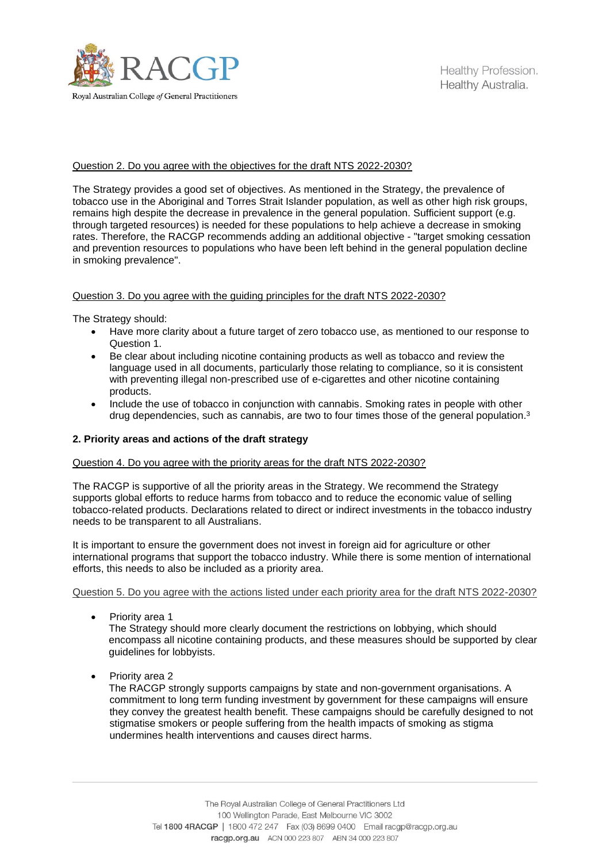

# Question 2. Do you agree with the objectives for the draft NTS 2022-2030?

The Strategy provides a good set of objectives. As mentioned in the Strategy, the prevalence of tobacco use in the Aboriginal and Torres Strait Islander population, as well as other high risk groups, remains high despite the decrease in prevalence in the general population. Sufficient support (e.g. through targeted resources) is needed for these populations to help achieve a decrease in smoking rates. Therefore, the RACGP recommends adding an additional objective - "target smoking cessation and prevention resources to populations who have been left behind in the general population decline in smoking prevalence".

# Question 3. Do you agree with the guiding principles for the draft NTS 2022-2030?

The Strategy should:

- Have more clarity about a future target of zero tobacco use, as mentioned to our response to Question 1.
- Be clear about including nicotine containing products as well as tobacco and review the language used in all documents, particularly those relating to compliance, so it is consistent with preventing illegal non-prescribed use of e-cigarettes and other nicotine containing products.
- Include the use of tobacco in conjunction with cannabis. Smoking rates in people with other drug dependencies, such as cannabis, are two to four times those of the general population.<sup>3</sup>

# **2. Priority areas and actions of the draft strategy**

## Question 4. Do you agree with the priority areas for the draft NTS 2022-2030?

The RACGP is supportive of all the priority areas in the Strategy. We recommend the Strategy supports global efforts to reduce harms from tobacco and to reduce the economic value of selling tobacco-related products. Declarations related to direct or indirect investments in the tobacco industry needs to be transparent to all Australians.

It is important to ensure the government does not invest in foreign aid for agriculture or other international programs that support the tobacco industry. While there is some mention of international efforts, this needs to also be included as a priority area.

## Question 5. Do you agree with the actions listed under each priority area for the draft NTS 2022-2030?

• Priority area 1

The Strategy should more clearly document the restrictions on lobbying, which should encompass all nicotine containing products, and these measures should be supported by clear guidelines for lobbyists.

• Priority area 2

The RACGP strongly supports campaigns by state and non-government organisations. A commitment to long term funding investment by government for these campaigns will ensure they convey the greatest health benefit. These campaigns should be carefully designed to not stigmatise smokers or people suffering from the health impacts of smoking as stigma undermines health interventions and causes direct harms.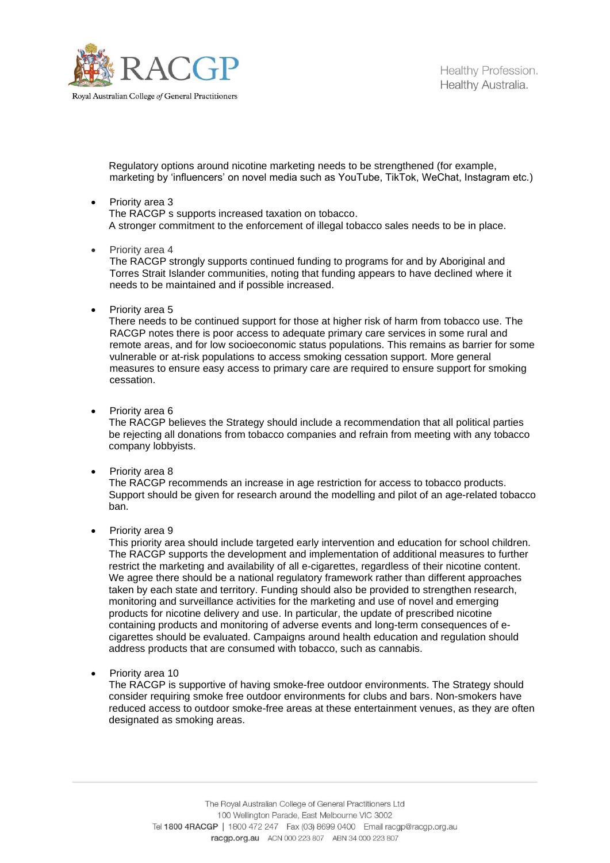

Healthy Profession. Healthy Australia.

Regulatory options around nicotine marketing needs to be strengthened (for example, marketing by 'influencers' on novel media such as YouTube, TikTok, WeChat, Instagram etc.)

- Priority area 3 The RACGP s supports increased taxation on tobacco. A stronger commitment to the enforcement of illegal tobacco sales needs to be in place.
- Priority area 4

The RACGP strongly supports continued funding to programs for and by Aboriginal and Torres Strait Islander communities, noting that funding appears to have declined where it needs to be maintained and if possible increased.

• Priority area 5

There needs to be continued support for those at higher risk of harm from tobacco use. The RACGP notes there is poor access to adequate primary care services in some rural and remote areas, and for low socioeconomic status populations. This remains as barrier for some vulnerable or at-risk populations to access smoking cessation support. More general measures to ensure easy access to primary care are required to ensure support for smoking cessation.

• Priority area 6

The RACGP believes the Strategy should include a recommendation that all political parties be rejecting all donations from tobacco companies and refrain from meeting with any tobacco company lobbyists.

• Priority area 8

The RACGP recommends an increase in age restriction for access to tobacco products. Support should be given for research around the modelling and pilot of an age-related tobacco ban.

Priority area 9

This priority area should include targeted early intervention and education for school children. The RACGP supports the development and implementation of additional measures to further restrict the marketing and availability of all e-cigarettes, regardless of their nicotine content. We agree there should be a national regulatory framework rather than different approaches taken by each state and territory. Funding should also be provided to strengthen research, monitoring and surveillance activities for the marketing and use of novel and emerging products for nicotine delivery and use. In particular, the update of prescribed nicotine containing products and monitoring of adverse events and long-term consequences of ecigarettes should be evaluated. Campaigns around health education and regulation should address products that are consumed with tobacco, such as cannabis.

• Priority area 10

The RACGP is supportive of having smoke-free outdoor environments. The Strategy should consider requiring smoke free outdoor environments for clubs and bars. Non-smokers have reduced access to outdoor smoke-free areas at these entertainment venues, as they are often designated as smoking areas.